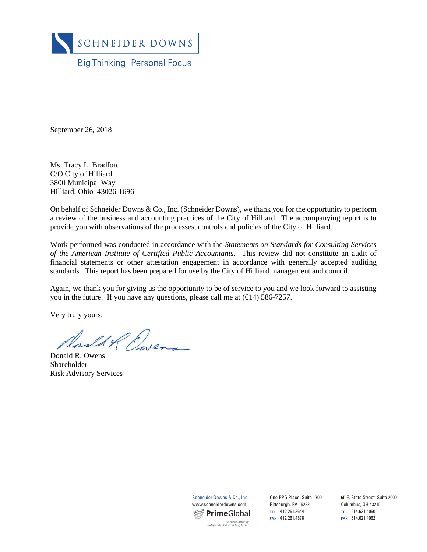

September 26, 2018

Ms. Tracy L. Bradford C/O City of Hilliard 3800 Municipal Way Hilliard, Ohio 43026-1696

On behalf of Schneider Downs & Co., Inc. (Schneider Downs), we thank you for the opportunity to perform a review of the business and accounting practices of the City of Hilliard. The accompanying report is to provide you with observations of the processes, controls and policies of the City of Hilliard.

Work performed was conducted in accordance with the *Statements on Standards for Consulting Services of the American Institute of Certified Public Accountants*. This review did not constitute an audit of financial statements or other attestation engagement in accordance with generally accepted auditing standards. This report has been prepared for use by the City of Hilliard management and council.

Again, we thank you for giving us the opportunity to be of service to you and we look forward to assisting you in the future. If you have any questions, please call me at (614) 586-7257.

Very truly yours,

ed & Ewen

Donald R. Owens Shareholder Risk Advisory Services



One PPG Place, Suite 1700 Pittsburgh, PA 15222 **TEL** 412.261.3644 **FAX** 412.261.4876 **FAX** 614.621.4062 *An Association of* 

65 E. State Street, Suite 2000 Columbus, OH 43215 **TEL** 614.621.4060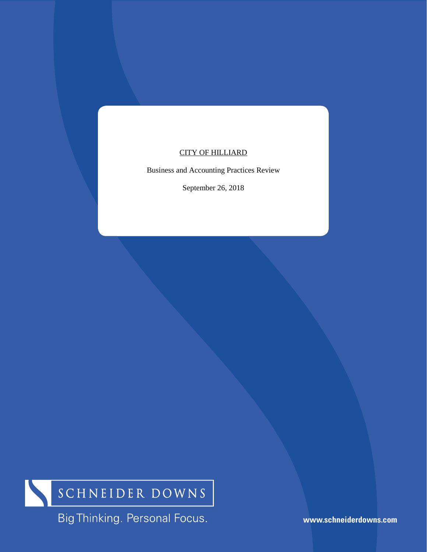# CITY OF HILLIARD

Business and Accounting Practices Review

September 26, 2018



Big Thinking. Personal Focus.

**www.schneiderdowns.com**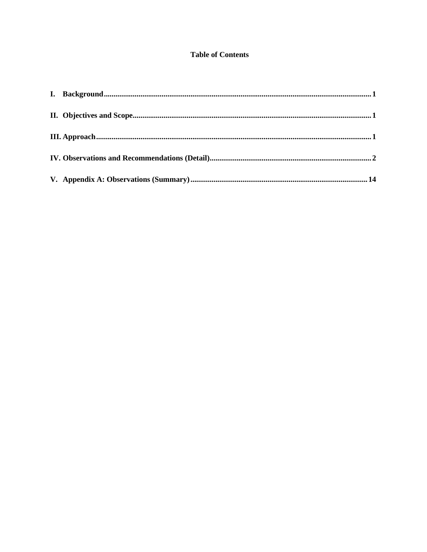## **Table of Contents**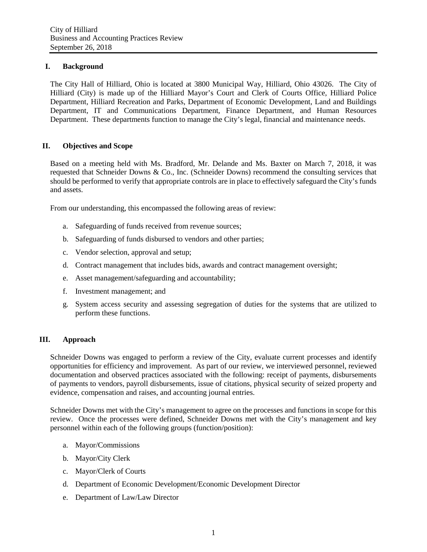## <span id="page-3-0"></span>**I. Background**

The City Hall of Hilliard, Ohio is located at 3800 Municipal Way, Hilliard, Ohio 43026. The City of Hilliard (City) is made up of the Hilliard Mayor's Court and Clerk of Courts Office, Hilliard Police Department, Hilliard Recreation and Parks, Department of Economic Development, Land and Buildings Department, IT and Communications Department, Finance Department, and Human Resources Department. These departments function to manage the City's legal, financial and maintenance needs.

## <span id="page-3-1"></span>**II. Objectives and Scope**

Based on a meeting held with Ms. Bradford, Mr. Delande and Ms. Baxter on March 7, 2018, it was requested that Schneider Downs & Co., Inc. (Schneider Downs) recommend the consulting services that should be performed to verify that appropriate controls are in place to effectively safeguard the City's funds and assets.

From our understanding, this encompassed the following areas of review:

- a. Safeguarding of funds received from revenue sources;
- b. Safeguarding of funds disbursed to vendors and other parties;
- c. Vendor selection, approval and setup;
- d. Contract management that includes bids, awards and contract management oversight;
- e. Asset management/safeguarding and accountability;
- f. Investment management; and
- g. System access security and assessing segregation of duties for the systems that are utilized to perform these functions.

## <span id="page-3-2"></span>**III. Approach**

Schneider Downs was engaged to perform a review of the City, evaluate current processes and identify opportunities for efficiency and improvement. As part of our review, we interviewed personnel, reviewed documentation and observed practices associated with the following: receipt of payments, disbursements of payments to vendors, payroll disbursements, issue of citations, physical security of seized property and evidence, compensation and raises, and accounting journal entries.

Schneider Downs met with the City's management to agree on the processes and functions in scope for this review. Once the processes were defined, Schneider Downs met with the City's management and key personnel within each of the following groups (function/position):

- a. Mayor/Commissions
- b. Mayor/City Clerk
- c. Mayor/Clerk of Courts
- d. Department of Economic Development/Economic Development Director
- e. Department of Law/Law Director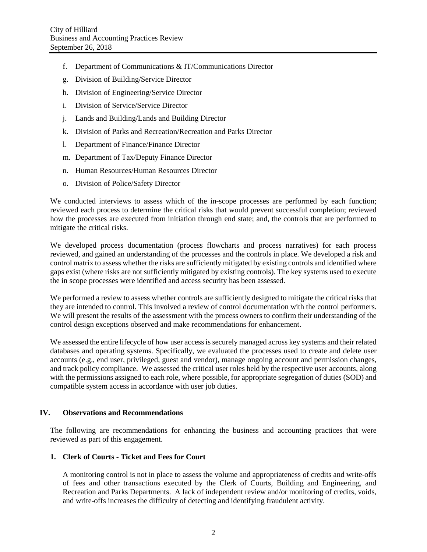- f. Department of Communications & IT/Communications Director
- g. Division of Building/Service Director
- h. Division of Engineering/Service Director
- i. Division of Service/Service Director
- j. Lands and Building/Lands and Building Director
- k. Division of Parks and Recreation/Recreation and Parks Director
- l. Department of Finance/Finance Director
- m. Department of Tax/Deputy Finance Director
- n. Human Resources/Human Resources Director
- o. Division of Police/Safety Director

We conducted interviews to assess which of the in-scope processes are performed by each function; reviewed each process to determine the critical risks that would prevent successful completion; reviewed how the processes are executed from initiation through end state; and, the controls that are performed to mitigate the critical risks.

We developed process documentation (process flowcharts and process narratives) for each process reviewed, and gained an understanding of the processes and the controls in place. We developed a risk and control matrix to assess whether the risks are sufficiently mitigated by existing controls and identified where gaps exist (where risks are not sufficiently mitigated by existing controls). The key systems used to execute the in scope processes were identified and access security has been assessed.

We performed a review to assess whether controls are sufficiently designed to mitigate the critical risks that they are intended to control. This involved a review of control documentation with the control performers. We will present the results of the assessment with the process owners to confirm their understanding of the control design exceptions observed and make recommendations for enhancement.

We assessed the entire lifecycle of how user access is securely managed across key systems and their related databases and operating systems. Specifically, we evaluated the processes used to create and delete user accounts (e.g., end user, privileged, guest and vendor), manage ongoing account and permission changes, and track policy compliance. We assessed the critical user roles held by the respective user accounts, along with the permissions assigned to each role, where possible, for appropriate segregation of duties (SOD) and compatible system access in accordance with user job duties.

## <span id="page-4-0"></span>**IV. Observations and Recommendations**

The following are recommendations for enhancing the business and accounting practices that were reviewed as part of this engagement.

## **1. Clerk of Courts - Ticket and Fees for Court**

A monitoring control is not in place to assess the volume and appropriateness of credits and write-offs of fees and other transactions executed by the Clerk of Courts, Building and Engineering, and Recreation and Parks Departments. A lack of independent review and/or monitoring of credits, voids, and write-offs increases the difficulty of detecting and identifying fraudulent activity.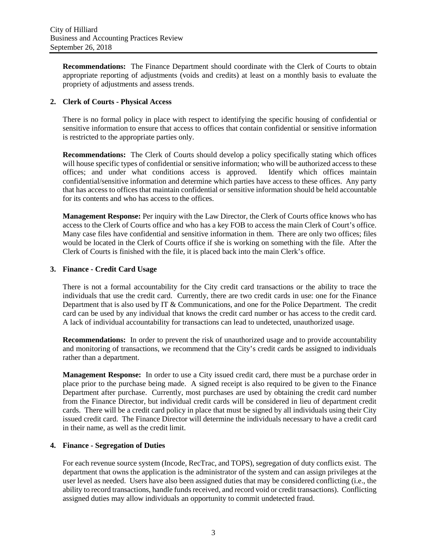**Recommendations:** The Finance Department should coordinate with the Clerk of Courts to obtain appropriate reporting of adjustments (voids and credits) at least on a monthly basis to evaluate the propriety of adjustments and assess trends.

## **2. Clerk of Courts - Physical Access**

There is no formal policy in place with respect to identifying the specific housing of confidential or sensitive information to ensure that access to offices that contain confidential or sensitive information is restricted to the appropriate parties only.

**Recommendations:** The Clerk of Courts should develop a policy specifically stating which offices will house specific types of confidential or sensitive information; who will be authorized access to these offices; and under what conditions access is approved. Identify which offices maintain confidential/sensitive information and determine which parties have access to these offices. Any party that has access to offices that maintain confidential or sensitive information should be held accountable for its contents and who has access to the offices.

**Management Response:** Per inquiry with the Law Director, the Clerk of Courts office knows who has access to the Clerk of Courts office and who has a key FOB to access the main Clerk of Court's office. Many case files have confidential and sensitive information in them. There are only two offices; files would be located in the Clerk of Courts office if she is working on something with the file. After the Clerk of Courts is finished with the file, it is placed back into the main Clerk's office.

## **3. Finance - Credit Card Usage**

There is not a formal accountability for the City credit card transactions or the ability to trace the individuals that use the credit card. Currently, there are two credit cards in use: one for the Finance Department that is also used by IT & Communications, and one for the Police Department. The credit card can be used by any individual that knows the credit card number or has access to the credit card. A lack of individual accountability for transactions can lead to undetected, unauthorized usage.

**Recommendations:** In order to prevent the risk of unauthorized usage and to provide accountability and monitoring of transactions, we recommend that the City's credit cards be assigned to individuals rather than a department.

**Management Response:** In order to use a City issued credit card, there must be a purchase order in place prior to the purchase being made. A signed receipt is also required to be given to the Finance Department after purchase. Currently, most purchases are used by obtaining the credit card number from the Finance Director, but individual credit cards will be considered in lieu of department credit cards. There will be a credit card policy in place that must be signed by all individuals using their City issued credit card. The Finance Director will determine the individuals necessary to have a credit card in their name, as well as the credit limit.

## **4. Finance - Segregation of Duties**

For each revenue source system (Incode, RecTrac, and TOPS), segregation of duty conflicts exist. The department that owns the application is the administrator of the system and can assign privileges at the user level as needed. Users have also been assigned duties that may be considered conflicting (i.e., the ability to record transactions, handle funds received, and record void or credit transactions). Conflicting assigned duties may allow individuals an opportunity to commit undetected fraud.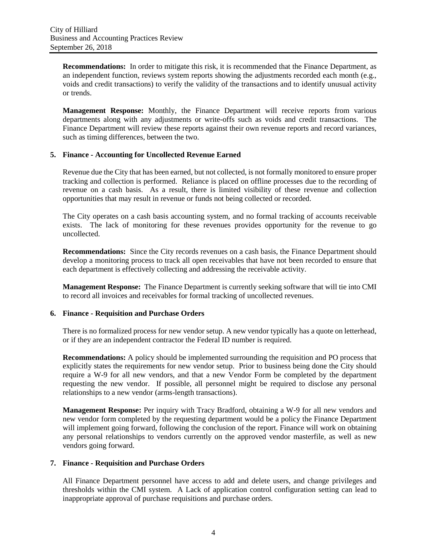**Recommendations:** In order to mitigate this risk, it is recommended that the Finance Department, as an independent function, reviews system reports showing the adjustments recorded each month (e.g., voids and credit transactions) to verify the validity of the transactions and to identify unusual activity or trends.

**Management Response:** Monthly, the Finance Department will receive reports from various departments along with any adjustments or write-offs such as voids and credit transactions. The Finance Department will review these reports against their own revenue reports and record variances, such as timing differences, between the two.

#### **5. Finance - Accounting for Uncollected Revenue Earned**

Revenue due the City that has been earned, but not collected, is not formally monitored to ensure proper tracking and collection is performed. Reliance is placed on offline processes due to the recording of revenue on a cash basis. As a result, there is limited visibility of these revenue and collection opportunities that may result in revenue or funds not being collected or recorded.

The City operates on a cash basis accounting system, and no formal tracking of accounts receivable exists. The lack of monitoring for these revenues provides opportunity for the revenue to go uncollected.

**Recommendations:** Since the City records revenues on a cash basis, the Finance Department should develop a monitoring process to track all open receivables that have not been recorded to ensure that each department is effectively collecting and addressing the receivable activity.

**Management Response:** The Finance Department is currently seeking software that will tie into CMI to record all invoices and receivables for formal tracking of uncollected revenues.

## **6. Finance - Requisition and Purchase Orders**

There is no formalized process for new vendor setup. A new vendor typically has a quote on letterhead, or if they are an independent contractor the Federal ID number is required.

**Recommendations:** A policy should be implemented surrounding the requisition and PO process that explicitly states the requirements for new vendor setup. Prior to business being done the City should require a W-9 for all new vendors, and that a new Vendor Form be completed by the department requesting the new vendor. If possible, all personnel might be required to disclose any personal relationships to a new vendor (arms-length transactions).

**Management Response:** Per inquiry with Tracy Bradford, obtaining a W-9 for all new vendors and new vendor form completed by the requesting department would be a policy the Finance Department will implement going forward, following the conclusion of the report. Finance will work on obtaining any personal relationships to vendors currently on the approved vendor masterfile, as well as new vendors going forward.

#### **7. Finance - Requisition and Purchase Orders**

All Finance Department personnel have access to add and delete users, and change privileges and thresholds within the CMI system. A Lack of application control configuration setting can lead to inappropriate approval of purchase requisitions and purchase orders.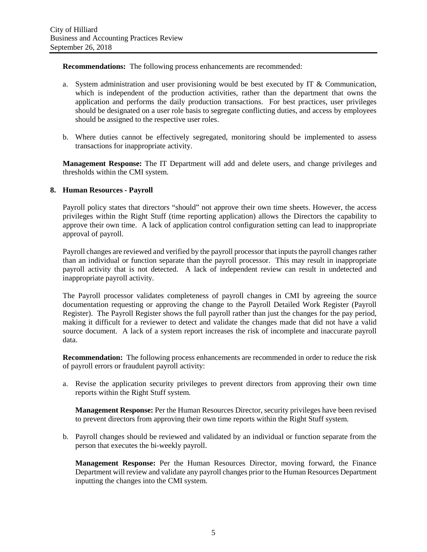**Recommendations:** The following process enhancements are recommended:

- a. System administration and user provisioning would be best executed by IT  $&$  Communication, which is independent of the production activities, rather than the department that owns the application and performs the daily production transactions. For best practices, user privileges should be designated on a user role basis to segregate conflicting duties, and access by employees should be assigned to the respective user roles.
- b. Where duties cannot be effectively segregated, monitoring should be implemented to assess transactions for inappropriate activity.

**Management Response:** The IT Department will add and delete users, and change privileges and thresholds within the CMI system.

## **8. Human Resources - Payroll**

Payroll policy states that directors "should" not approve their own time sheets. However, the access privileges within the Right Stuff (time reporting application) allows the Directors the capability to approve their own time. A lack of application control configuration setting can lead to inappropriate approval of payroll.

Payroll changes are reviewed and verified by the payroll processor that inputs the payroll changes rather than an individual or function separate than the payroll processor. This may result in inappropriate payroll activity that is not detected. A lack of independent review can result in undetected and inappropriate payroll activity.

The Payroll processor validates completeness of payroll changes in CMI by agreeing the source documentation requesting or approving the change to the Payroll Detailed Work Register (Payroll Register). The Payroll Register shows the full payroll rather than just the changes for the pay period, making it difficult for a reviewer to detect and validate the changes made that did not have a valid source document. A lack of a system report increases the risk of incomplete and inaccurate payroll data.

**Recommendation:** The following process enhancements are recommended in order to reduce the risk of payroll errors or fraudulent payroll activity:

a. Revise the application security privileges to prevent directors from approving their own time reports within the Right Stuff system.

**Management Response:** Per the Human Resources Director, security privileges have been revised to prevent directors from approving their own time reports within the Right Stuff system.

b. Payroll changes should be reviewed and validated by an individual or function separate from the person that executes the bi-weekly payroll.

**Management Response:** Per the Human Resources Director, moving forward, the Finance Department will review and validate any payroll changes prior to the Human Resources Department inputting the changes into the CMI system.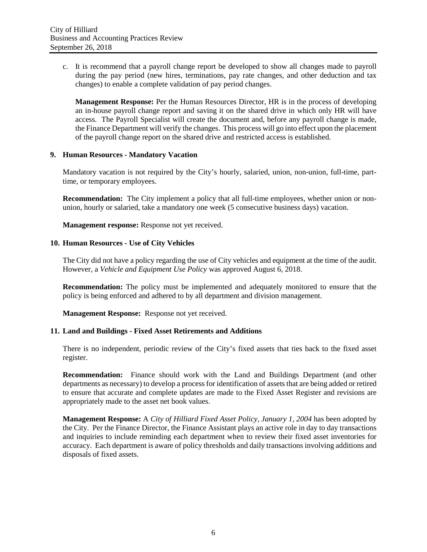c. It is recommend that a payroll change report be developed to show all changes made to payroll during the pay period (new hires, terminations, pay rate changes, and other deduction and tax changes) to enable a complete validation of pay period changes.

**Management Response:** Per the Human Resources Director, HR is in the process of developing an in-house payroll change report and saving it on the shared drive in which only HR will have access. The Payroll Specialist will create the document and, before any payroll change is made, the Finance Department will verify the changes. This process will go into effect upon the placement of the payroll change report on the shared drive and restricted access is established.

#### **9. Human Resources - Mandatory Vacation**

Mandatory vacation is not required by the City's hourly, salaried, union, non-union, full-time, parttime, or temporary employees.

**Recommendation:** The City implement a policy that all full-time employees, whether union or nonunion, hourly or salaried, take a mandatory one week (5 consecutive business days) vacation.

**Management response:** Response not yet received.

## **10. Human Resources - Use of City Vehicles**

The City did not have a policy regarding the use of City vehicles and equipment at the time of the audit. However, a *Vehicle and Equipment Use Policy* was approved August 6, 2018.

**Recommendation:** The policy must be implemented and adequately monitored to ensure that the policy is being enforced and adhered to by all department and division management.

**Management Response:** Response not yet received.

## **11. Land and Buildings - Fixed Asset Retirements and Additions**

There is no independent, periodic review of the City's fixed assets that ties back to the fixed asset register.

**Recommendation:** Finance should work with the Land and Buildings Department (and other departments as necessary) to develop a process for identification of assets that are being added or retired to ensure that accurate and complete updates are made to the Fixed Asset Register and revisions are appropriately made to the asset net book values.

**Management Response:** A *City of Hilliard Fixed Asset Policy, January 1, 2004* has been adopted by the City. Per the Finance Director, the Finance Assistant plays an active role in day to day transactions and inquiries to include reminding each department when to review their fixed asset inventories for accuracy. Each department is aware of policy thresholds and daily transactions involving additions and disposals of fixed assets.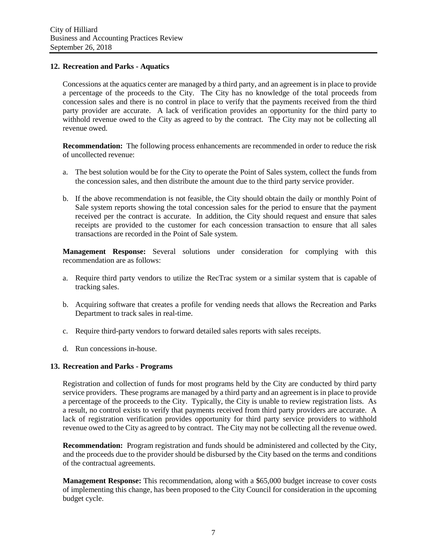## **12. Recreation and Parks - Aquatics**

Concessions at the aquatics center are managed by a third party, and an agreement is in place to provide a percentage of the proceeds to the City. The City has no knowledge of the total proceeds from concession sales and there is no control in place to verify that the payments received from the third party provider are accurate. A lack of verification provides an opportunity for the third party to withhold revenue owed to the City as agreed to by the contract. The City may not be collecting all revenue owed.

**Recommendation:** The following process enhancements are recommended in order to reduce the risk of uncollected revenue:

- a. The best solution would be for the City to operate the Point of Sales system, collect the funds from the concession sales, and then distribute the amount due to the third party service provider.
- b. If the above recommendation is not feasible, the City should obtain the daily or monthly Point of Sale system reports showing the total concession sales for the period to ensure that the payment received per the contract is accurate. In addition, the City should request and ensure that sales receipts are provided to the customer for each concession transaction to ensure that all sales transactions are recorded in the Point of Sale system.

**Management Response:** Several solutions under consideration for complying with this recommendation are as follows:

- a. Require third party vendors to utilize the RecTrac system or a similar system that is capable of tracking sales.
- b. Acquiring software that creates a profile for vending needs that allows the Recreation and Parks Department to track sales in real-time.
- c. Require third-party vendors to forward detailed sales reports with sales receipts.
- d. Run concessions in-house.

#### **13. Recreation and Parks - Programs**

Registration and collection of funds for most programs held by the City are conducted by third party service providers. These programs are managed by a third party and an agreement is in place to provide a percentage of the proceeds to the City. Typically, the City is unable to review registration lists. As a result, no control exists to verify that payments received from third party providers are accurate. A lack of registration verification provides opportunity for third party service providers to withhold revenue owed to the City as agreed to by contract. The City may not be collecting all the revenue owed.

**Recommendation:** Program registration and funds should be administered and collected by the City, and the proceeds due to the provider should be disbursed by the City based on the terms and conditions of the contractual agreements.

**Management Response:** This recommendation, along with a \$65,000 budget increase to cover costs of implementing this change, has been proposed to the City Council for consideration in the upcoming budget cycle.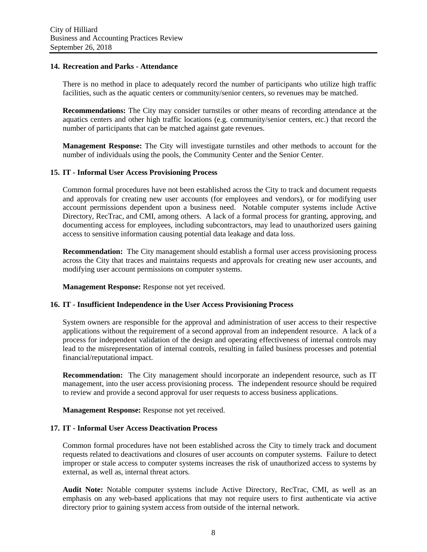#### **14. Recreation and Parks - Attendance**

There is no method in place to adequately record the number of participants who utilize high traffic facilities, such as the aquatic centers or community/senior centers, so revenues may be matched.

**Recommendations:** The City may consider turnstiles or other means of recording attendance at the aquatics centers and other high traffic locations (e.g. community/senior centers, etc.) that record the number of participants that can be matched against gate revenues.

**Management Response:** The City will investigate turnstiles and other methods to account for the number of individuals using the pools, the Community Center and the Senior Center.

#### **15. IT - Informal User Access Provisioning Process**

Common formal procedures have not been established across the City to track and document requests and approvals for creating new user accounts (for employees and vendors), or for modifying user account permissions dependent upon a business need. Notable computer systems include Active Directory, RecTrac, and CMI, among others. A lack of a formal process for granting, approving, and documenting access for employees, including subcontractors, may lead to unauthorized users gaining access to sensitive information causing potential data leakage and data loss.

**Recommendation:** The City management should establish a formal user access provisioning process across the City that traces and maintains requests and approvals for creating new user accounts, and modifying user account permissions on computer systems.

**Management Response:** Response not yet received.

#### **16. IT - Insufficient Independence in the User Access Provisioning Process**

System owners are responsible for the approval and administration of user access to their respective applications without the requirement of a second approval from an independent resource. A lack of a process for independent validation of the design and operating effectiveness of internal controls may lead to the misrepresentation of internal controls, resulting in failed business processes and potential financial/reputational impact.

**Recommendation:** The City management should incorporate an independent resource, such as IT management, into the user access provisioning process. The independent resource should be required to review and provide a second approval for user requests to access business applications.

**Management Response:** Response not yet received.

#### **17. IT - Informal User Access Deactivation Process**

Common formal procedures have not been established across the City to timely track and document requests related to deactivations and closures of user accounts on computer systems. Failure to detect improper or stale access to computer systems increases the risk of unauthorized access to systems by external, as well as, internal threat actors.

**Audit Note:** Notable computer systems include Active Directory, RecTrac, CMI, as well as an emphasis on any web-based applications that may not require users to first authenticate via active directory prior to gaining system access from outside of the internal network.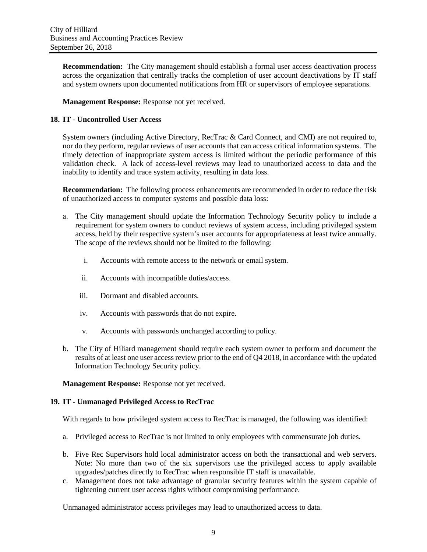**Recommendation:** The City management should establish a formal user access deactivation process across the organization that centrally tracks the completion of user account deactivations by IT staff and system owners upon documented notifications from HR or supervisors of employee separations.

**Management Response:** Response not yet received.

## **18. IT - Uncontrolled User Access**

System owners (including Active Directory, RecTrac & Card Connect, and CMI) are not required to, nor do they perform, regular reviews of user accounts that can access critical information systems. The timely detection of inappropriate system access is limited without the periodic performance of this validation check. A lack of access-level reviews may lead to unauthorized access to data and the inability to identify and trace system activity, resulting in data loss.

**Recommendation:** The following process enhancements are recommended in order to reduce the risk of unauthorized access to computer systems and possible data loss:

- a. The City management should update the Information Technology Security policy to include a requirement for system owners to conduct reviews of system access, including privileged system access, held by their respective system's user accounts for appropriateness at least twice annually. The scope of the reviews should not be limited to the following:
	- i. Accounts with remote access to the network or email system.
	- ii. Accounts with incompatible duties/access.
	- iii. Dormant and disabled accounts.
	- iv. Accounts with passwords that do not expire.
	- v. Accounts with passwords unchanged according to policy.
- b. The City of Hiliard management should require each system owner to perform and document the results of at least one user access review prior to the end of Q4 2018, in accordance with the updated Information Technology Security policy.

**Management Response:** Response not yet received.

## **19. IT - Unmanaged Privileged Access to RecTrac**

With regards to how privileged system access to RecTrac is managed, the following was identified:

- a. Privileged access to RecTrac is not limited to only employees with commensurate job duties.
- b. Five Rec Supervisors hold local administrator access on both the transactional and web servers. Note: No more than two of the six supervisors use the privileged access to apply available upgrades/patches directly to RecTrac when responsible IT staff is unavailable.
- c. Management does not take advantage of granular security features within the system capable of tightening current user access rights without compromising performance.

Unmanaged administrator access privileges may lead to unauthorized access to data.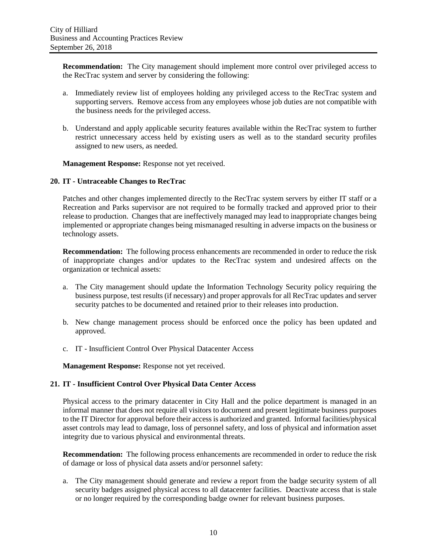**Recommendation:** The City management should implement more control over privileged access to the RecTrac system and server by considering the following:

- a. Immediately review list of employees holding any privileged access to the RecTrac system and supporting servers. Remove access from any employees whose job duties are not compatible with the business needs for the privileged access.
- b. Understand and apply applicable security features available within the RecTrac system to further restrict unnecessary access held by existing users as well as to the standard security profiles assigned to new users, as needed.

**Management Response:** Response not yet received.

#### **20. IT - Untraceable Changes to RecTrac**

Patches and other changes implemented directly to the RecTrac system servers by either IT staff or a Recreation and Parks supervisor are not required to be formally tracked and approved prior to their release to production. Changes that are ineffectively managed may lead to inappropriate changes being implemented or appropriate changes being mismanaged resulting in adverse impacts on the business or technology assets.

**Recommendation:** The following process enhancements are recommended in order to reduce the risk of inappropriate changes and/or updates to the RecTrac system and undesired affects on the organization or technical assets:

- a. The City management should update the Information Technology Security policy requiring the business purpose, test results (if necessary) and proper approvals for all RecTrac updates and server security patches to be documented and retained prior to their releases into production.
- b. New change management process should be enforced once the policy has been updated and approved.
- c. IT Insufficient Control Over Physical Datacenter Access

**Management Response:** Response not yet received.

## **21. IT - Insufficient Control Over Physical Data Center Access**

Physical access to the primary datacenter in City Hall and the police department is managed in an informal manner that does not require all visitors to document and present legitimate business purposes to the IT Director for approval before their access is authorized and granted. Informal facilities/physical asset controls may lead to damage, loss of personnel safety, and loss of physical and information asset integrity due to various physical and environmental threats.

**Recommendation:** The following process enhancements are recommended in order to reduce the risk of damage or loss of physical data assets and/or personnel safety:

a. The City management should generate and review a report from the badge security system of all security badges assigned physical access to all datacenter facilities. Deactivate access that is stale or no longer required by the corresponding badge owner for relevant business purposes.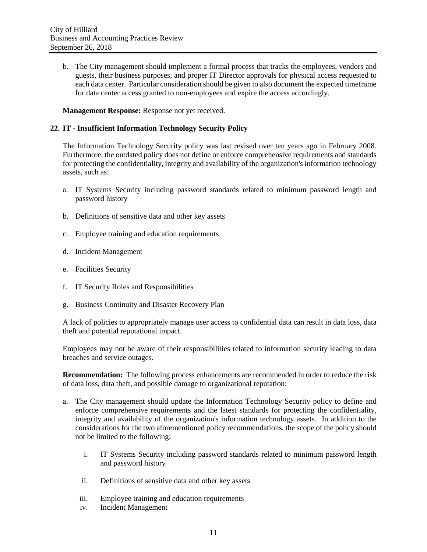b. The City management should implement a formal process that tracks the employees, vendors and guests, their business purposes, and proper IT Director approvals for physical access requested to each data center. Particular consideration should be given to also document the expected timeframe for data center access granted to non-employees and expire the access accordingly.

**Management Response:** Response not yet received.

#### **22. IT - Insufficient Information Technology Security Policy**

The Information Technology Security policy was last revised over ten years ago in February 2008. Furthermore, the outdated policy does not define or enforce comprehensive requirements and standards for protecting the confidentiality, integrity and availability of the organization's information technology assets, such as:

- a. IT Systems Security including password standards related to minimum password length and password history
- b. Definitions of sensitive data and other key assets
- c. Employee training and education requirements
- d. Incident Management
- e. Facilities Security
- f. IT Security Roles and Responsibilities
- g. Business Continuity and Disaster Recovery Plan

A lack of policies to appropriately manage user access to confidential data can result in data loss, data theft and potential reputational impact.

Employees may not be aware of their responsibilities related to information security leading to data breaches and service outages.

**Recommendation:** The following process enhancements are recommended in order to reduce the risk of data loss, data theft, and possible damage to organizational reputation:

- a. The City management should update the Information Technology Security policy to define and enforce comprehensive requirements and the latest standards for protecting the confidentiality, integrity and availability of the organization's information technology assets. In addition to the considerations for the two aforementioned policy recommendations, the scope of the policy should not be limited to the following:
	- i. IT Systems Security including password standards related to minimum password length and password history
	- ii. Definitions of sensitive data and other key assets
	- iii. Employee training and education requirements
	- iv. Incident Management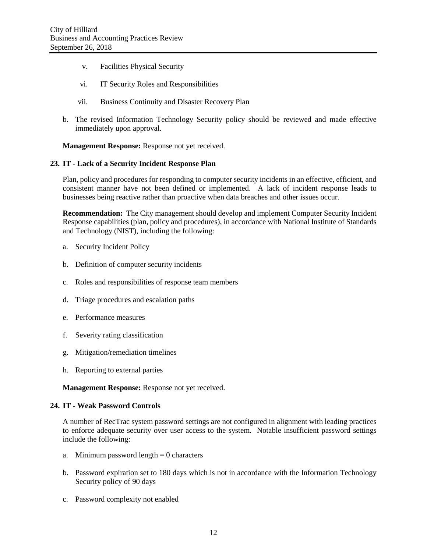- v. Facilities Physical Security
- vi. IT Security Roles and Responsibilities
- vii. Business Continuity and Disaster Recovery Plan
- b. The revised Information Technology Security policy should be reviewed and made effective immediately upon approval.

**Management Response:** Response not yet received.

#### **23. IT - Lack of a Security Incident Response Plan**

Plan, policy and procedures for responding to computer security incidents in an effective, efficient, and consistent manner have not been defined or implemented. A lack of incident response leads to businesses being reactive rather than proactive when data breaches and other issues occur.

**Recommendation:** The City management should develop and implement Computer Security Incident Response capabilities (plan, policy and procedures), in accordance with National Institute of Standards and Technology (NIST), including the following:

- a. Security Incident Policy
- b. Definition of computer security incidents
- c. Roles and responsibilities of response team members
- d. Triage procedures and escalation paths
- e. Performance measures
- f. Severity rating classification
- g. Mitigation/remediation timelines
- h. Reporting to external parties

**Management Response:** Response not yet received.

#### **24. IT - Weak Password Controls**

A number of RecTrac system password settings are not configured in alignment with leading practices to enforce adequate security over user access to the system. Notable insufficient password settings include the following:

- a. Minimum password length  $= 0$  characters
- b. Password expiration set to 180 days which is not in accordance with the Information Technology Security policy of 90 days
- c. Password complexity not enabled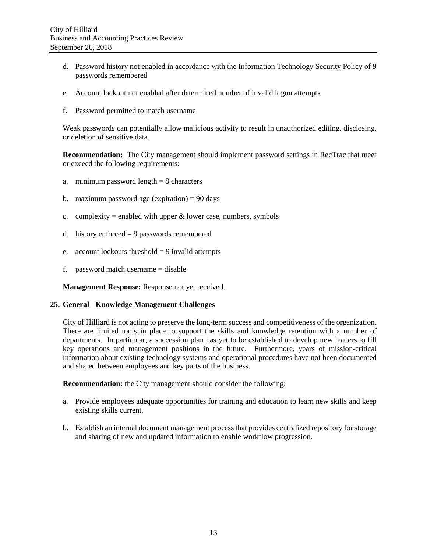- d. Password history not enabled in accordance with the Information Technology Security Policy of 9 passwords remembered
- e. Account lockout not enabled after determined number of invalid logon attempts
- f. Password permitted to match username

Weak passwords can potentially allow malicious activity to result in unauthorized editing, disclosing, or deletion of sensitive data.

**Recommendation:** The City management should implement password settings in RecTrac that meet or exceed the following requirements:

- a. minimum password length  $= 8$  characters
- b. maximum password age (expiration)  $= 90$  days
- c. complexity = enabled with upper  $\&$  lower case, numbers, symbols
- d. history enforced  $= 9$  passwords remembered
- e. account lockouts threshold  $= 9$  invalid attempts
- f. password match username = disable

**Management Response:** Response not yet received.

#### **25. General - Knowledge Management Challenges**

City of Hilliard is not acting to preserve the long-term success and competitiveness of the organization. There are limited tools in place to support the skills and knowledge retention with a number of departments. In particular, a succession plan has yet to be established to develop new leaders to fill key operations and management positions in the future. Furthermore, years of mission-critical information about existing technology systems and operational procedures have not been documented and shared between employees and key parts of the business.

**Recommendation:** the City management should consider the following:

- a. Provide employees adequate opportunities for training and education to learn new skills and keep existing skills current.
- <span id="page-15-0"></span>b. Establish an internal document management process that provides centralized repository for storage and sharing of new and updated information to enable workflow progression.